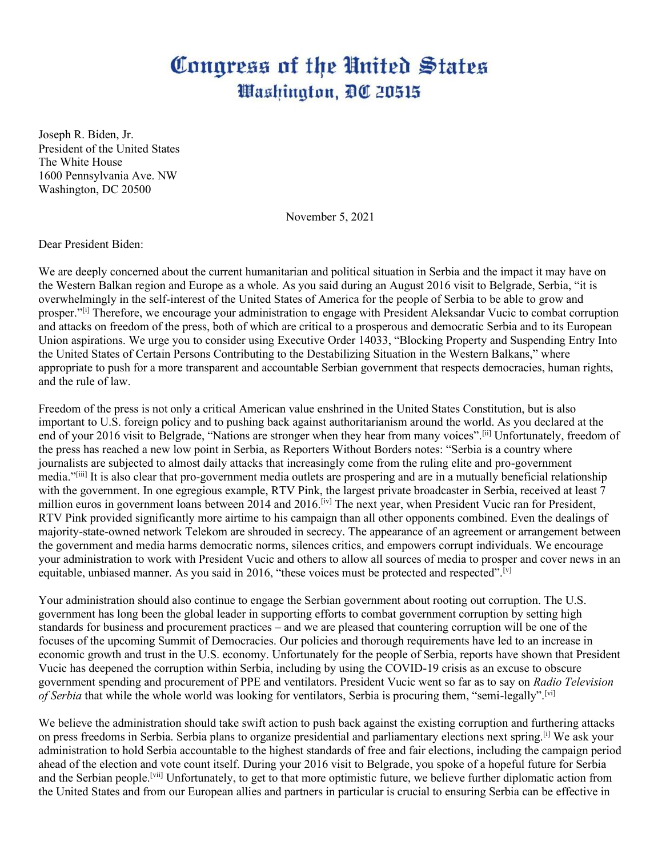## Congress of the United States Washington, DC 20515

Joseph R. Biden, Jr. President of the United States The White House 1600 Pennsylvania Ave. NW Washington, DC 20500

November 5, 2021

Dear President Biden:

We are deeply concerned about the current humanitarian and political situation in Serbia and the impact it may have on the Western Balkan region and Europe as a whole. As you said during an August 2016 visit to Belgrade, Serbia, "it is overwhelmingly in the self-interest of the United States of America for the people of Serbia to be able to grow and prosper."[i] Therefore, we encourage your administration to engage with President Aleksandar Vucic to combat corruption and attacks on freedom of the press, both of which are critical to a prosperous and democratic Serbia and to its European Union aspirations. We urge you to consider using Executive Order 14033, "Blocking Property and Suspending Entry Into the United States of Certain Persons Contributing to the Destabilizing Situation in the Western Balkans," where appropriate to push for a more transparent and accountable Serbian government that respects democracies, human rights, and the rule of law.

Freedom of the press is not only a critical American value enshrined in the United States Constitution, but is also important to U.S. foreign policy and to pushing back against authoritarianism around the world. As you declared at the end of your 2016 visit to Belgrade, "Nations are stronger when they hear from many voices".<sup>[ii]</sup> Unfortunately, freedom of the press has reached a new low point in Serbia, as Reporters Without Borders notes: "Serbia is a country where journalists are subjected to almost daily attacks that increasingly come from the ruling elite and pro-government media."[iii] It is also clear that pro-government media outlets are prospering and are in a mutually beneficial relationship with the government. In one egregious example, RTV Pink, the largest private broadcaster in Serbia, received at least 7 million euros in government loans between 2014 and 2016.<sup>[iv]</sup> The next year, when President Vucic ran for President, RTV Pink provided significantly more airtime to his campaign than all other opponents combined. Even the dealings of majority-state-owned network Telekom are shrouded in secrecy. The appearance of an agreement or arrangement between the government and media harms democratic norms, silences critics, and empowers corrupt individuals. We encourage your administration to work with President Vucic and others to allow all sources of media to prosper and cover news in an equitable, unbiased manner. As you said in 2016, "these voices must be protected and respected".<sup>[v]</sup>

Your administration should also continue to engage the Serbian government about rooting out corruption. The U.S. government has long been the global leader in supporting efforts to combat government corruption by setting high standards for business and procurement practices – and we are pleased that countering corruption will be one of the focuses of the upcoming Summit of Democracies. Our policies and thorough requirements have led to an increase in economic growth and trust in the U.S. economy. Unfortunately for the people of Serbia, reports have shown that President Vucic has deepened the corruption within Serbia, including by using the COVID-19 crisis as an excuse to obscure government spending and procurement of PPE and ventilators. President Vucic went so far as to say on *Radio Television of Serbia* that while the whole world was looking for ventilators, Serbia is procuring them, "semi-legally".<sup>[vi]</sup>

We believe the administration should take swift action to push back against the existing corruption and furthering attacks on press freedoms in Serbia. Serbia plans to organize presidential and parliamentary elections next spring.[i] We ask your administration to hold Serbia accountable to the highest standards of free and fair elections, including the campaign period ahead of the election and vote count itself. During your 2016 visit to Belgrade, you spoke of a hopeful future for Serbia and the Serbian people.<sup>[vii]</sup> Unfortunately, to get to that more optimistic future, we believe further diplomatic action from the United States and from our European allies and partners in particular is crucial to ensuring Serbia can be effective in